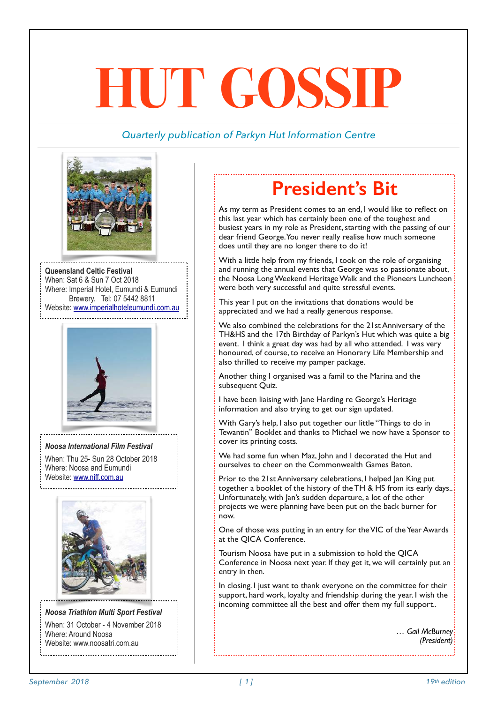# **HUT GOSSIP**

#### *Quarterly publication of Parkyn Hut Information Centre*



**Queensland Celtic Festival**  When: Sat 6 & Sun 7 Oct 2018 Where: Imperial Hotel, Eumundi & Eumundi Brewery. Tel: 07 5442 8811 Website: [www.imperialhoteleumundi.com.au](http://www.imperialhoteleumundi.com.au/)



#### *Noosa International Film Festival*

When: Thu 25- Sun 28 October 2018 Where: Noosa and Eumundi Website: [www.niff.com.au](http://www.niff.com.au/)



*Noosa Triathlon Multi Sport Festival*  When: 31 October - 4 November 2018 Where: Around Noosa Website: [www.noosatri.com.au](http://www.noosatri.com.au/) 

### **President's Bit**

As my term as President comes to an end, I would like to reflect on this last year which has certainly been one of the toughest and busiest years in my role as President, starting with the passing of our dear friend George. You never really realise how much someone does until they are no longer there to do it!

With a little help from my friends, I took on the role of organising and running the annual events that George was so passionate about, the Noosa Long Weekend Heritage Walk and the Pioneers Luncheon were both very successful and quite stressful events.

This year I put on the invitations that donations would be appreciated and we had a really generous response.

We also combined the celebrations for the 21st Anniversary of the TH&HS and the 17th Birthday of Parkyn's Hut which was quite a big event. I think a great day was had by all who attended. I was very honoured, of course, to receive an Honorary Life Membership and also thrilled to receive my pamper package.

Another thing I organised was a famil to the Marina and the subsequent Quiz.

I have been liaising with Jane Harding re George's Heritage information and also trying to get our sign updated.

With Gary's help, I also put together our little "Things to do in Tewantin" Booklet and thanks to Michael we now have a Sponsor to cover its printing costs.

We had some fun when Maz, John and I decorated the Hut and ourselves to cheer on the Commonwealth Games Baton.

Prior to the 21st Anniversary celebrations, I helped Jan King put together a booklet of the history of the TH & HS from its early days.. Unfortunately, with Jan's sudden departure, a lot of the other projects we were planning have been put on the back burner for now.

One of those was putting in an entry for the VIC of the Year Awards at the QICA Conference.

Tourism Noosa have put in a submission to hold the QICA Conference in Noosa next year. If they get it, we will certainly put an entry in then.

In closing. I just want to thank everyone on the committee for their support, hard work, loyalty and friendship during the year. I wish the incoming committee all the best and offer them my full support..

> *… Gail McBurney (President)*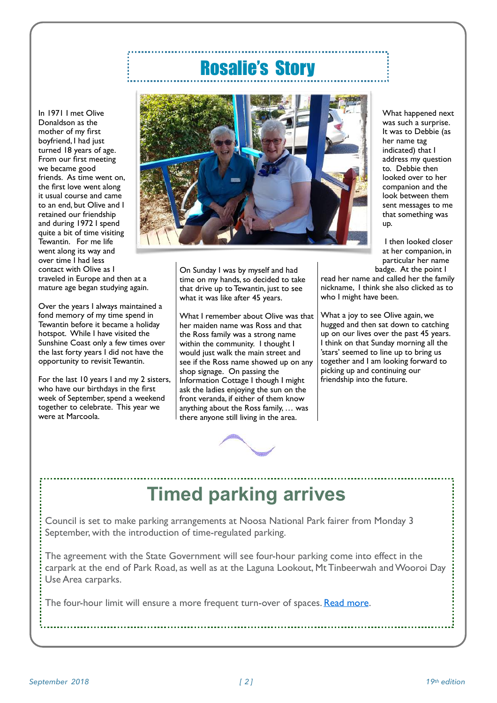### Rosalie's Story

In 1971 I met Olive Donaldson as the mother of my first boyfriend, I had just turned 18 years of age. From our first meeting we became good friends. As time went on, the first love went along it usual course and came to an end, but Olive and I retained our friendship and during 1972 I spend quite a bit of time visiting Tewantin. For me life went along its way and over time I had less contact with Olive as I traveled in Europe and then at a mature age began studying again.

Over the years I always maintained a fond memory of my time spend in Tewantin before it became a holiday hotspot. While I have visited the Sunshine Coast only a few times over the last forty years I did not have the opportunity to revisit Tewantin.

For the last 10 years I and my 2 sisters, who have our birthdays in the first week of September, spend a weekend together to celebrate. This year we were at Marcoola.



On Sunday I was by myself and had time on my hands, so decided to take that drive up to Tewantin, just to see what it was like after 45 years.

What I remember about Olive was that her maiden name was Ross and that the Ross family was a strong name within the community. I thought I would just walk the main street and see if the Ross name showed up on any shop signage. On passing the Information Cottage I though I might ask the ladies enjoying the sun on the front veranda, if either of them know anything about the Ross family, … was there anyone still living in the area.



What happened next was such a surprise. It was to Debbie (as her name tag indicated) that I address my question to. Debbie then looked over to her companion and the look between them sent messages to me that something was up.

 I then looked closer at her companion, in particular her name badge. At the point I

read her name and called her the family nickname, I think she also clicked as to who I might have been.

What a joy to see Olive again, we hugged and then sat down to catching up on our lives over the past 45 years. I think on that Sunday morning all the 'stars' seemed to line up to bring us together and I am looking forward to picking up and continuing our friendship into the future.

### **Timed parking arrives**

Council is set to make parking arrangements at Noosa National Park fairer from Monday 3 September, with the introduction of time-regulated parking.

The agreement with the State Government will see four-hour parking come into effect in the carpark at the end of Park Road, as well as at the Laguna Lookout, Mt Tinbeerwah and Wooroi Day Use Area carparks.

The four-hour limit will ensure a more frequent turn-over of spaces. [Read more](http://www.sbm21.com/c.cfm?l=949403&c=31607456&m=251535&b=1584839).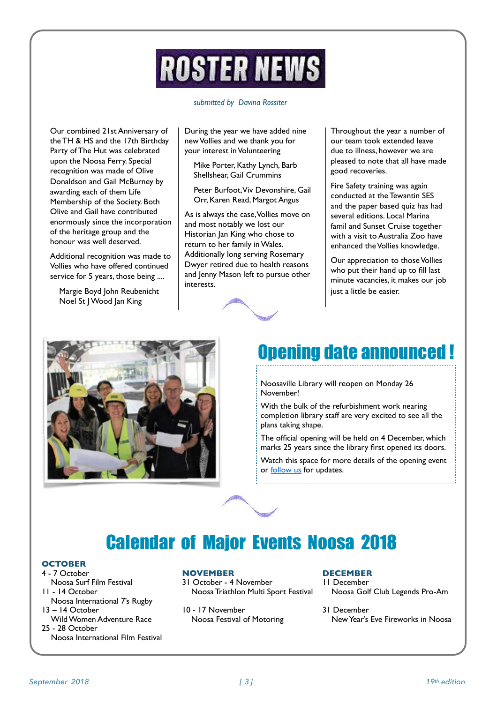## **ROSTER NEWS**

#### *submitted by Davina Rossiter*

Our combined 21st Anniversary of the TH & HS and the 17th Birthday Party of The Hut was celebrated upon the Noosa Ferry. Special recognition was made of Olive Donaldson and Gail McBurney by awarding each of them Life Membership of the Society. Both Olive and Gail have contributed enormously since the incorporation of the heritage group and the honour was well deserved.

Additional recognition was made to Vollies who have offered continued service for 5 years, those being ....

Margie Boyd John Reubenicht Noel St J Wood Jan King

During the year we have added nine new Vollies and we thank you for your interest in Volunteering

Mike Porter, Kathy Lynch, Barb Shellshear, Gail Crummins

Peter Burfoot, Viv Devonshire, Gail Orr, Karen Read, Margot Angus

As is always the case, Vollies move on and most notably we lost our Historian Jan King who chose to return to her family in Wales. Additionally long serving Rosemary Dwyer retired due to health reasons and Jenny Mason left to pursue other interests.

Throughout the year a number of our team took extended leave due to illness, however we are pleased to note that all have made good recoveries.

Fire Safety training was again conducted at the Tewantin SES and the paper based quiz has had several editions. Local Marina famil and Sunset Cruise together with a visit to Australia Zoo have enhanced the Vollies knowledge.

Our appreciation to those Vollies who put their hand up to fill last minute vacancies, it makes our job just a little be easier.





### Opening date announced !

Noosaville Library will reopen on Monday 26 November!

With the bulk of the refurbishment work nearing completion library staff are very excited to see all the plans taking shape.

The official opening will be held on 4 December, which marks 25 years since the library first opened its doors.

Watch this space for more details of the opening event or **follow** us for updates.



### Calendar of Major Events Noosa 2018

#### **OCTOBER**

- 4 7 October Noosa Surf Film Festival
- 11 14 October Noosa International 7's Rugby
- 13 14 October Wild Women Adventure Race
- 25 28 October

Noosa International Film Festival

#### **NOVEMBER**

- 31 October 4 November Noosa Triathlon Multi Sport Festival
- 10 17 November Noosa Festival of Motoring

#### **DECEMBER**

- 11 December Noosa Golf Club Legends Pro-Am
- 31 December New Year's Eve Fireworks in Noosa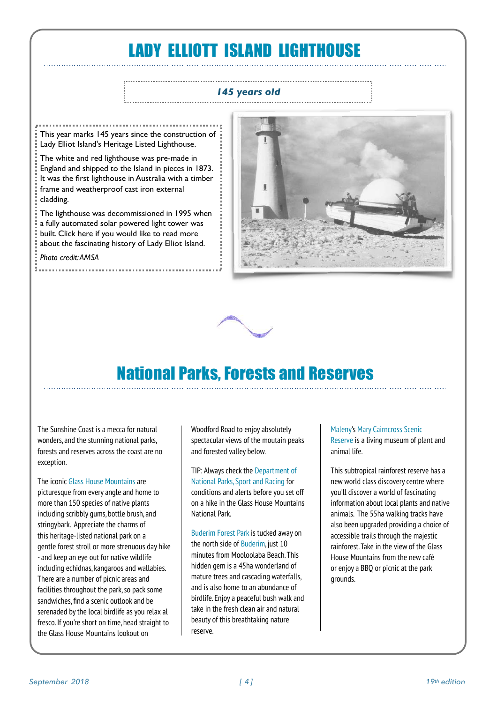### LADY ELLIOTT ISLAND LIGHTHOUSE

#### *145 years old*

This year marks 145 years since the construction of Lady Elliot Island's Heritage Listed Lighthouse.

The white and red lighthouse was pre-made in England and shipped to the Island in pieces in 1873. It was the first lighthouse in Australia with a timber frame and weatherproof cast iron external cladding.

The lighthouse was decommissioned in 1995 when a fully automated solar powered light tower was built. Click [here](http://account.createsend.ie/t/r-l-jjtrakl-tdcliuddu-r/) if you would like to read more about the fascinating history of Lady Elliot Island.

#### *Photo credit: AMSA*





### National Parks, Forests and Reserves

The Sunshine Coast is a mecca for natural wonders, and the stunning national parks, forests and reserves across the coast are no exception.

The iconic [Glass House Mountains](https://www.visitsunshinecoast.com/Glass-House-Mountains) are picturesque from every angle and home to more than 150 species of native plants including scribbly gums, bottle brush, and stringybark. Appreciate the charms of this heritage-listed national park on a gentle forest stroll or more strenuous day hike - and keep an eye out for native wildlife including echidnas, kangaroos and wallabies. There are a number of picnic areas and facilities throughout the park, so pack some sandwiches, find a scenic outlook and be serenaded by the local birdlife as you relax al fresco. If you're short on time, head straight to the Glass House Mountains lookout on

Woodford Road to enjoy absolutely spectacular views of the moutain peaks and forested valley below.

[TIP: Always check the Department of](https://www.npsr.qld.gov.au/parks/glass-house-mountains/)  [National Parks, Sport and Racing](https://www.npsr.qld.gov.au/parks/glass-house-mountains/) for conditions and alerts before you set off on a hike in the Glass House Mountains National Park.

[Buderim Forest Park](https://www.visitsunshinecoast.com/Travel-guides/Articles/Buderim-Forest-Park-and-Falls) is tucked away on the north side of [Buderim](https://www.visitsunshinecoast.com/Buderim), just 10 minutes from Mooloolaba Beach. This hidden gem is a 45ha wonderland of mature trees and cascading waterfalls, and is also home to an abundance of birdlife. Enjoy a peaceful bush walk and take in the fresh clean air and natural beauty of this breathtaking nature reserve.

#### [Maleny](https://www.visitsunshinecoast.com/Maleny)'s [Mary Cairncross Scenic](https://www.visitsunshinecoast.com/Mary-Cairncross-Scenic-Reserve)  [Reserve](https://www.visitsunshinecoast.com/Mary-Cairncross-Scenic-Reserve) is a living museum of plant and animal life.

This subtropical rainforest reserve has a new world class discovery centre where you'll discover a world of fascinating information about local plants and native animals. The 55ha walking tracks have also been upgraded providing a choice of accessible trails through the majestic rainforest. Take in the view of the Glass House Mountains from the new café or enjoy a BBQ or picnic at the park grounds.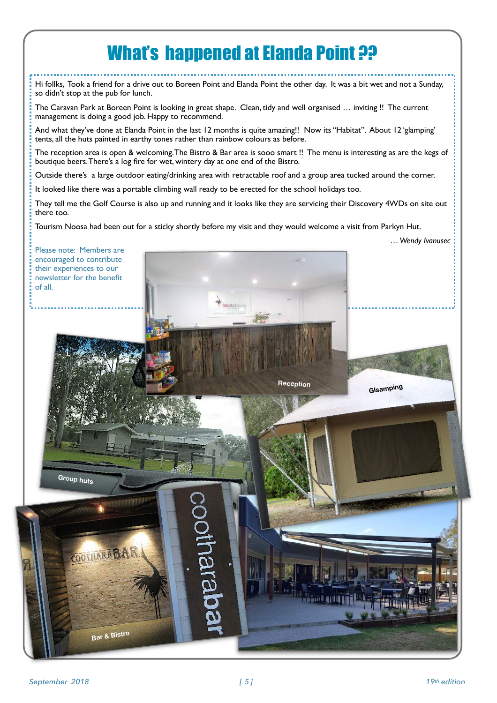### **What's happened at Elanda Point ??**

Hi follks, Took a friend for a drive out to Boreen Point and Elanda Point the other day. It was a bit wet and not a Sunday, so didn't stop at the pub for lunch.

The Caravan Park at Boreen Point is looking in great shape. Clean, tidy and well organised … inviting !! The current management is doing a good job. Happy to recommend.

And what they've done at Elanda Point in the last 12 months is quite amazing!! Now its "Habitat". About 12 'glamping' tents, all the huts painted in earthy tones rather than rainbow colours as before.

The reception area is open & welcoming. The Bistro & Bar area is sooo smart !! The menu is interesting as are the kegs of boutique beers. There's a log fire for wet, wintery day at one end of the Bistro.

Outside there's a large outdoor eating/drinking area with retractable roof and a group area tucked around the corner.

It looked like there was a portable climbing wall ready to be erected for the school holidays too.

They tell me the Golf Course is also up and running and it looks like they are servicing their Discovery 4WDs on site out there too.

Tourism Noosa had been out for a sticky shortly before my visit and they would welcome a visit from Parkyn Hut.

 *… Wendy Ivanusec*